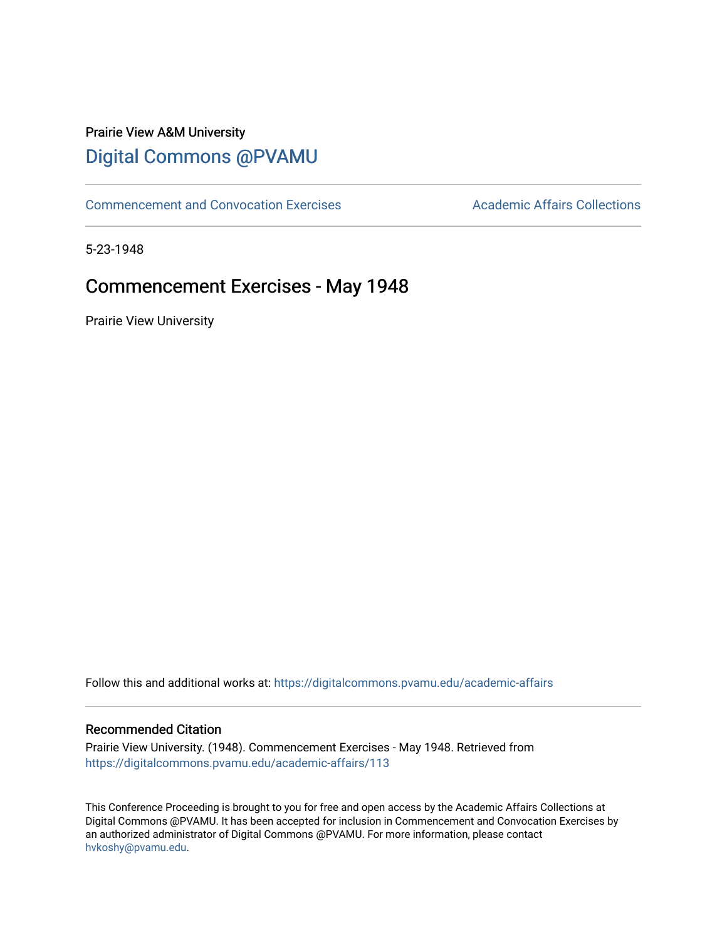## Prairie View A&M University [Digital Commons @PVAMU](https://digitalcommons.pvamu.edu/)

[Commencement and Convocation Exercises](https://digitalcommons.pvamu.edu/academic-affairs) **Academic Affairs Collections** 

5-23-1948

# Commencement Exercises - May 1948

Prairie View University

Follow this and additional works at: [https://digitalcommons.pvamu.edu/academic-affairs](https://digitalcommons.pvamu.edu/academic-affairs?utm_source=digitalcommons.pvamu.edu%2Facademic-affairs%2F113&utm_medium=PDF&utm_campaign=PDFCoverPages)

#### Recommended Citation

Prairie View University. (1948). Commencement Exercises - May 1948. Retrieved from [https://digitalcommons.pvamu.edu/academic-affairs/113](https://digitalcommons.pvamu.edu/academic-affairs/113?utm_source=digitalcommons.pvamu.edu%2Facademic-affairs%2F113&utm_medium=PDF&utm_campaign=PDFCoverPages)

This Conference Proceeding is brought to you for free and open access by the Academic Affairs Collections at Digital Commons @PVAMU. It has been accepted for inclusion in Commencement and Convocation Exercises by an authorized administrator of Digital Commons @PVAMU. For more information, please contact [hvkoshy@pvamu.edu](mailto:hvkoshy@pvamu.edu).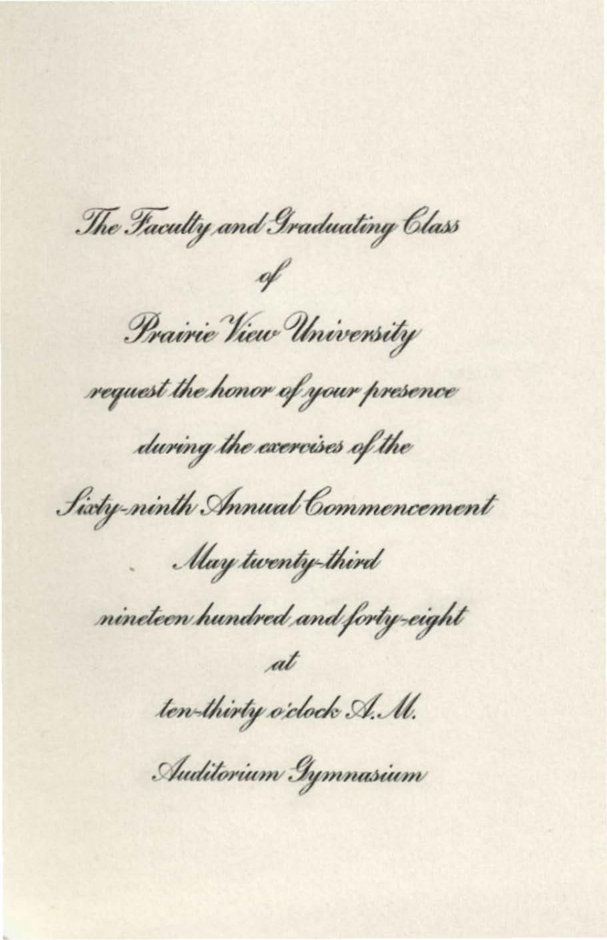The Faculty and Graduating Class

Prairie View University

request the honor of your presence

during the exercises of the

Sixty-ninth Annual Commencement

May twenty-third

nineteen hundred and forty-eight

ten-thirty o'clock A. M.

Auditorium Gymnasium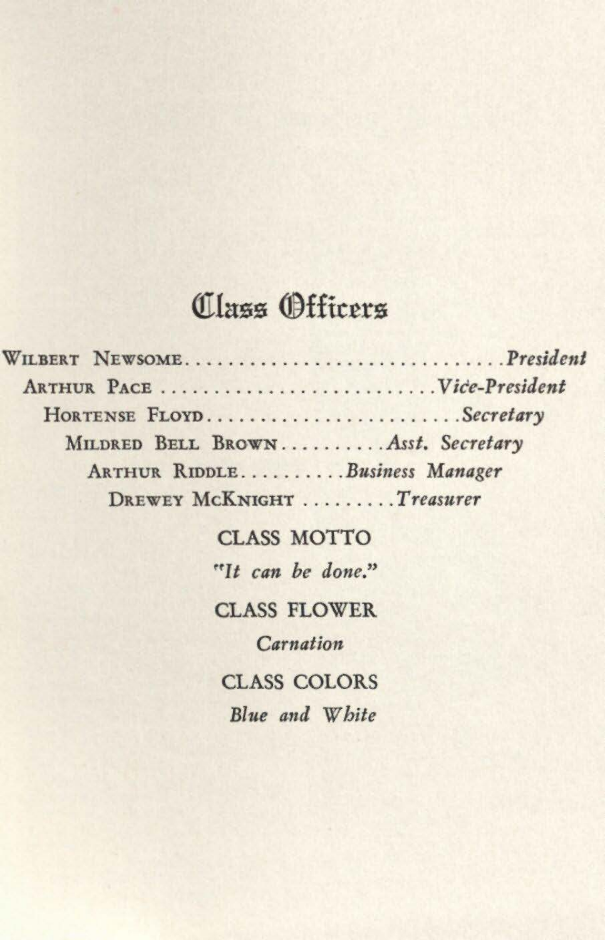#### Class Officers

| WILBERT NEWSOMEPresident          |  |
|-----------------------------------|--|
|                                   |  |
| HORTENSE FLOYDSecretary           |  |
| MILDRED BELL BROWNAsst. Secretary |  |
| ARTHUR RIDDLEBusiness Manager     |  |
| DREWEY MCKNIGHT Treasurer         |  |

**CLASS MOTTO** "It can be done."

**CLASS FLOWER** 

Carnation

**CLASS COLORS** Blue and White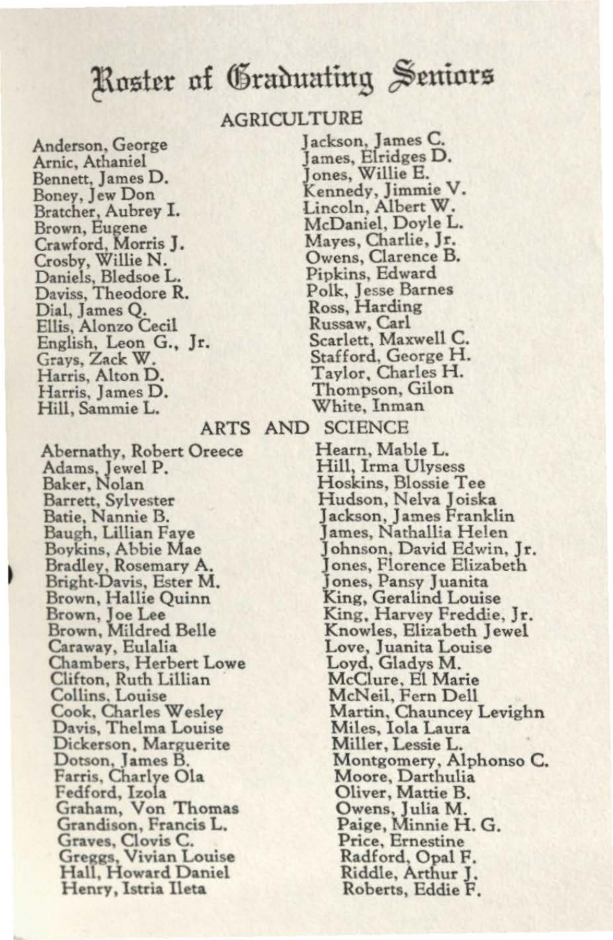### Roster of Graduating Seniors

#### AGRICULTURE

Anderson, George Arnic, Athaniel Bennett, James D. Boney, Jew Don Bratcher, Aubrey I. Brown, Eugene Crawford, Morris J. Crosby, Willie N. Daniels, Bledsoe L. Daviss, Theodore R. Dial. James O. Ellis, Alonzo Cecil English, Leon G., Jr. Grays, Zack W. Harris, Alton D. Harris, James D. Hill, Sammie L.

Abernathy, Robert Oreece Adams, Jewel P.<br>Baker, Nolan Barrett, Sylvester Batie, Nannie B. Baugh, Lillian Faye Boykins, Abbie Mae Bradley, Rosemary A. Bright-Davis, Ester M. Brown, Hallie Quinn Brown, Joe Lee<br>Brown, Mildred Belle Caraway, Eulalia Chambers, Herbert Lowe Clifton, Ruth Lillian Collins, Louise Cook, Charles Wesley Davis, Thelma Louise Dickerson, Marguerite Dotson, James B. Farris, Charlye Ola Fedford, Izola Graham, Von Thomas Grandison, Francis L. Graves, Clovis C.<br>Greggs, Vivian Louise Hall, Howard Daniel Henry, Istria Ileta

Jackson, James C. James, Elridges D.<br>Jones, Willie E. Kennedy, Jimmie V. Lincoln, Albert W. McDaniel, Doyle L. Mayes, Charlie, Jr. Owens, Clarence B. Pipkins, Edward Polk, Jesse Barnes Ross, Harding Russaw, Carl Scarlett, Maxwell C. Stafford, George H. Taylor, Charles H. Thompson, Gilon White, Inman ARTS AND SCIENCE Hearn, Mable L.

Hill, Irma Ulysess Hoskins, Blossie Tee Hudson, Nelva Joiska Jackson, James Franklin James, Nathallia Helen Johnson, David Edwin, Jr. Jones, Florence Elizabeth Jones, Pansy Juanita King, Geralind Louise King, Harvey Freddie, Jr. Knowles, Elizabeth Jewel Love, Juanita Louise Loyd, Gladys M. McClure, El Marie McNeil, Fern Dell Martin, Chauncey Levighn Miles, Iola Laura Miller, Lessie L. Montgomery, Alphonso C. Moore, Darthulia Oliver, Mattie B. Owens, Julia M. Paige, Minnie H. G. Price, Ernestine Radford, Opal F. Riddle, Arthur J. Roberts, Eddie F.